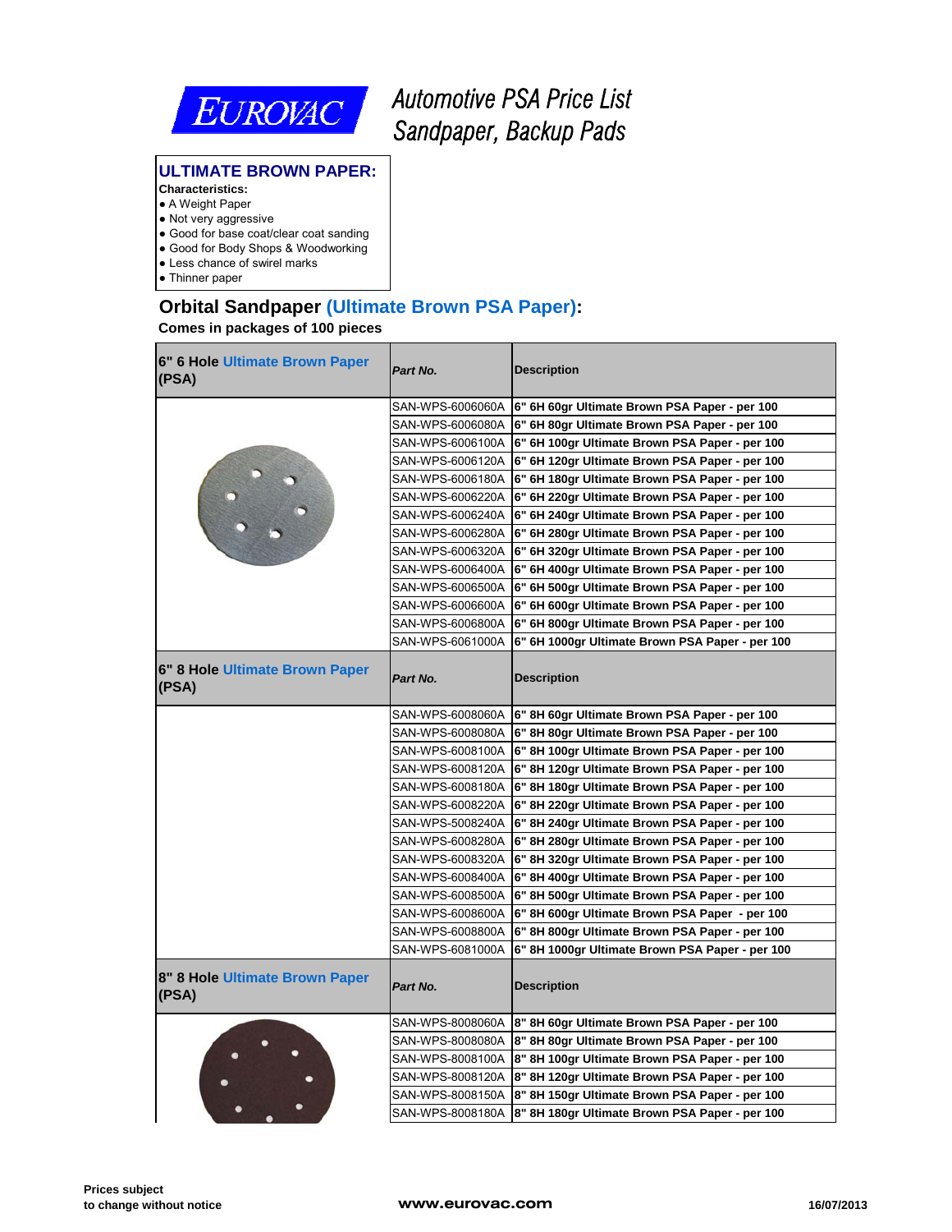

# *Automotive PSA Price List Sandpaper, Backup Pads*

#### **ULTIMATE BROWN PAPER:**

#### **Characteristics:**

- A Weight Paper
- Not very aggressive
- Good for base coat/clear coat sanding ● Good for Body Shops & Woodworking
- 
- Less chance of swirel marks
- Thinner paper

# **Orbital Sandpaper (Ultimate Brown PSA Paper):**

| 6" 6 Hole Ultimate Brown Paper<br>(PSA) | Part No.         | <b>Description</b>                                              |
|-----------------------------------------|------------------|-----------------------------------------------------------------|
|                                         | SAN-WPS-6006060A | 6" 6H 60gr Ultimate Brown PSA Paper - per 100                   |
|                                         | SAN-WPS-6006080A | 6" 6H 80gr Ultimate Brown PSA Paper - per 100                   |
|                                         |                  | SAN-WPS-6006100A 6" 6H 100gr Ultimate Brown PSA Paper - per 100 |
|                                         | SAN-WPS-6006120A | 6" 6H 120gr Ultimate Brown PSA Paper - per 100                  |
|                                         | SAN-WPS-6006180A | 6" 6H 180gr Ultimate Brown PSA Paper - per 100                  |
|                                         | SAN-WPS-6006220A | 6" 6H 220gr Ultimate Brown PSA Paper - per 100                  |
|                                         | SAN-WPS-6006240A | 6" 6H 240gr Ultimate Brown PSA Paper - per 100                  |
|                                         | SAN-WPS-6006280A | 6" 6H 280gr Ultimate Brown PSA Paper - per 100                  |
|                                         | SAN-WPS-6006320A | 6" 6H 320gr Ultimate Brown PSA Paper - per 100                  |
|                                         | SAN-WPS-6006400A | 6" 6H 400gr Ultimate Brown PSA Paper - per 100                  |
|                                         | SAN-WPS-6006500A | 6" 6H 500gr Ultimate Brown PSA Paper - per 100                  |
|                                         | SAN-WPS-6006600A | 6" 6H 600gr Ultimate Brown PSA Paper - per 100                  |
|                                         | SAN-WPS-6006800A | 6" 6H 800gr Ultimate Brown PSA Paper - per 100                  |
|                                         | SAN-WPS-6061000A | 6" 6H 1000gr Ultimate Brown PSA Paper - per 100                 |
| 6" 8 Hole Ultimate Brown Paper<br>(PSA) | Part No.         | <b>Description</b>                                              |
|                                         | SAN-WPS-6008060A | 6" 8H 60gr Ultimate Brown PSA Paper - per 100                   |
|                                         |                  | SAN-WPS-6008080A 6" 8H 80gr Ultimate Brown PSA Paper - per 100  |
|                                         | SAN-WPS-6008100A | 6" 8H 100gr Ultimate Brown PSA Paper - per 100                  |
|                                         | SAN-WPS-6008120A | 6" 8H 120gr Ultimate Brown PSA Paper - per 100                  |
|                                         | SAN-WPS-6008180A | 6" 8H 180gr Ultimate Brown PSA Paper - per 100                  |
|                                         | SAN-WPS-6008220A | 6" 8H 220gr Ultimate Brown PSA Paper - per 100                  |
|                                         | SAN-WPS-5008240A | 6" 8H 240gr Ultimate Brown PSA Paper - per 100                  |
|                                         | SAN-WPS-6008280A | 6" 8H 280gr Ultimate Brown PSA Paper - per 100                  |
|                                         | SAN-WPS-6008320A | 6" 8H 320gr Ultimate Brown PSA Paper - per 100                  |
|                                         |                  | SAN-WPS-6008400A 6" 8H 400gr Ultimate Brown PSA Paper - per 100 |
|                                         | SAN-WPS-6008500A | 6" 8H 500gr Ultimate Brown PSA Paper - per 100                  |
|                                         | SAN-WPS-6008600A | 6" 8H 600gr Ultimate Brown PSA Paper - per 100                  |
|                                         | SAN-WPS-6008800A | 6" 8H 800gr Ultimate Brown PSA Paper - per 100                  |
|                                         | SAN-WPS-6081000A | 6" 8H 1000gr Ultimate Brown PSA Paper - per 100                 |
| 8" 8 Hole Ultimate Brown Paper<br>(PSA) | Part No.         | <b>Description</b>                                              |
|                                         |                  | SAN-WPS-8008060A 8" 8H 60gr Ultimate Brown PSA Paper - per 100  |
|                                         | SAN-WPS-8008080A | 8" 8H 80gr Ultimate Brown PSA Paper - per 100                   |
|                                         | SAN-WPS-8008100A | 8" 8H 100gr Ultimate Brown PSA Paper - per 100                  |
|                                         | SAN-WPS-8008120A | 8" 8H 120gr Ultimate Brown PSA Paper - per 100                  |
|                                         |                  | SAN-WPS-8008150A 8" 8H 150gr Ultimate Brown PSA Paper - per 100 |
|                                         | SAN-WPS-8008180A | 8" 8H 180gr Ultimate Brown PSA Paper - per 100                  |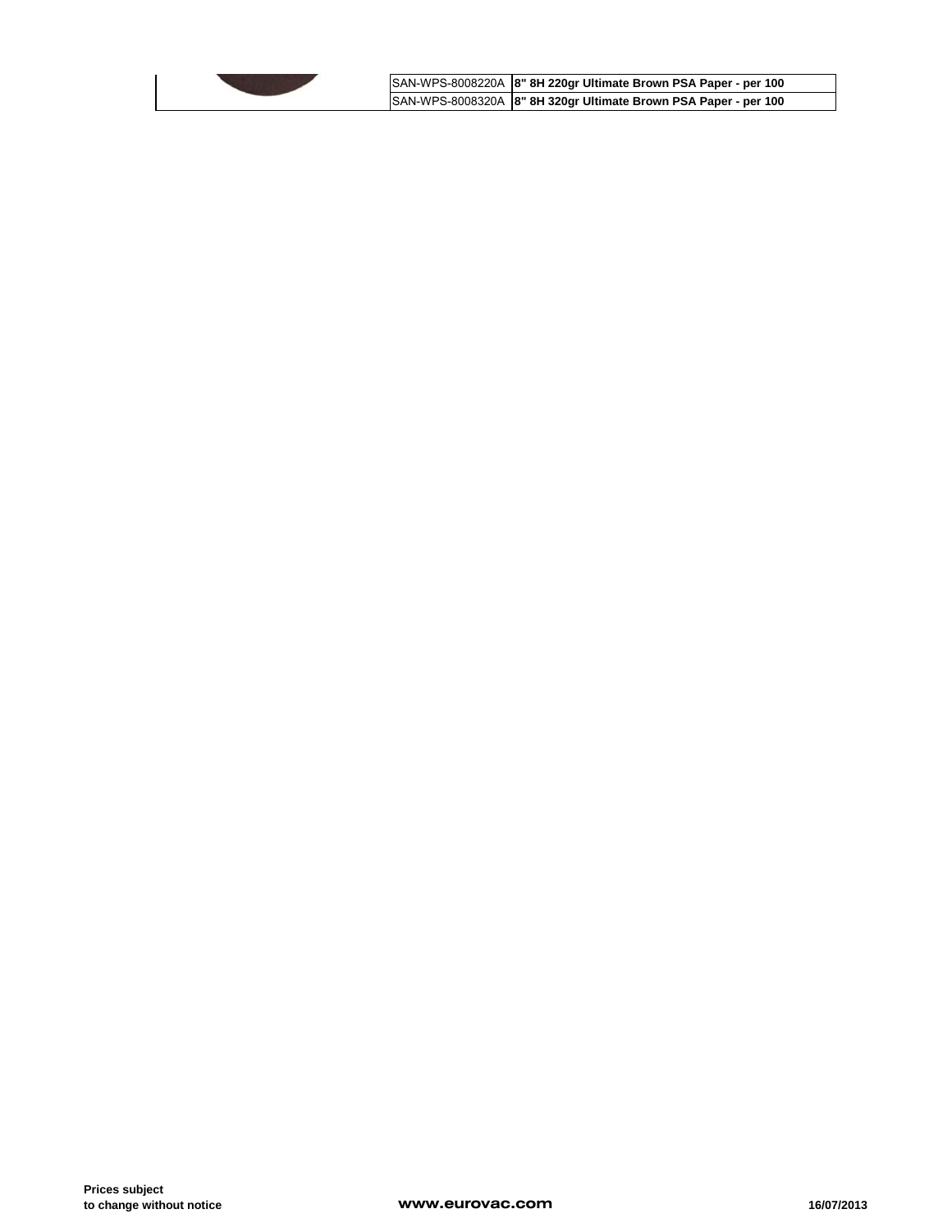

SAN-WPS-8008220A **8" 8H 220gr Ultimate Brown PSA Paper - per 100** SAN-WPS-8008320A **8" 8H 320gr Ultimate Brown PSA Paper - per 100**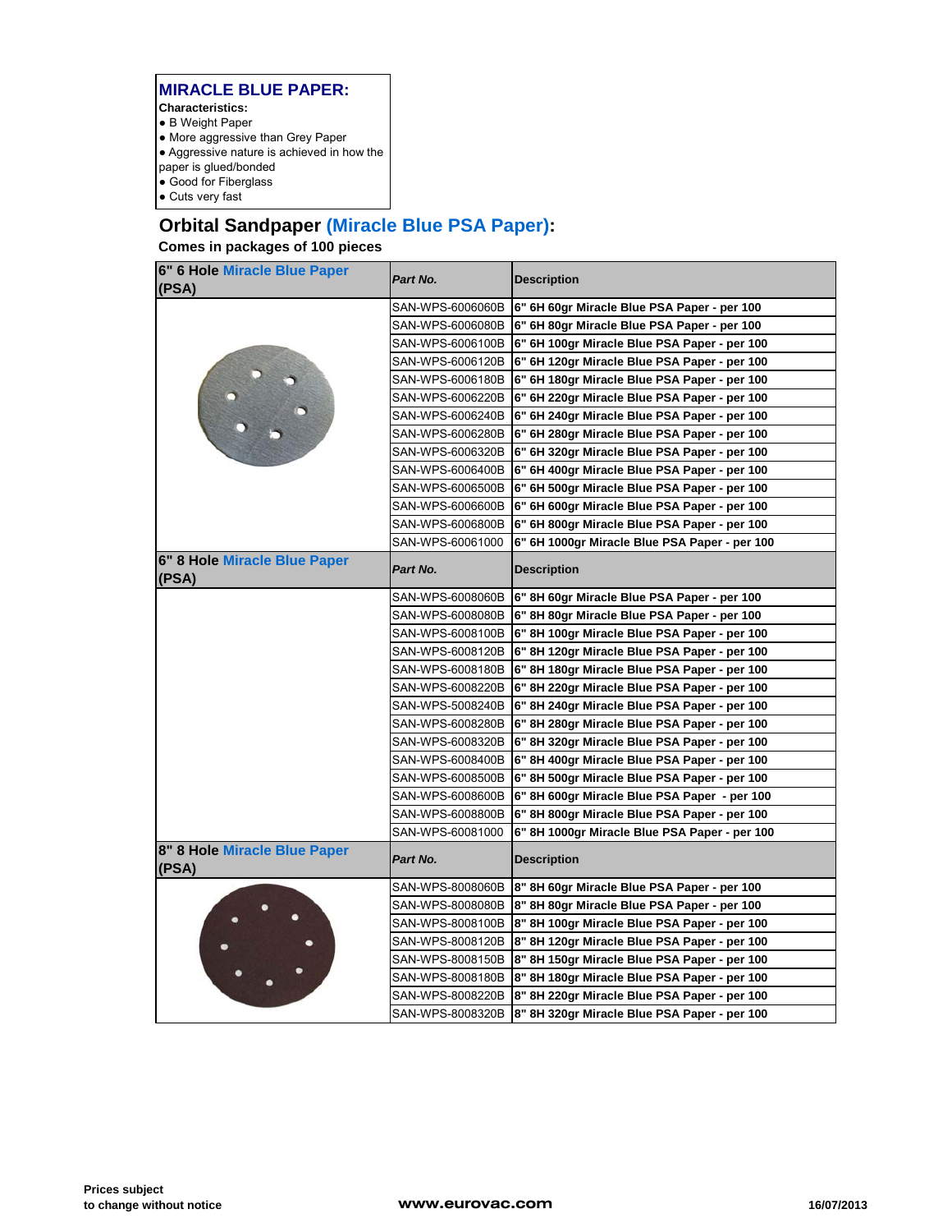#### **MIRACLE BLUE PAPER:**

- **Characteristics:**
- B Weight Paper
- More aggressive than Grey Paper
- Aggressive nature is achieved in how the
- paper is glued/bonded
- Good for Fiberglass
- Cuts very fast

# **Orbital Sandpaper (Miracle Blue PSA Paper):**

| 6" 6 Hole Miracle Blue Paper<br>(PSA) | Part No.         | <b>Description</b>                                             |
|---------------------------------------|------------------|----------------------------------------------------------------|
|                                       | SAN-WPS-6006060B | 6" 6H 60gr Miracle Blue PSA Paper - per 100                    |
|                                       |                  | SAN-WPS-6006080B 6" 6H 80gr Miracle Blue PSA Paper - per 100   |
|                                       |                  | SAN-WPS-6006100B  6" 6H 100gr Miracle Blue PSA Paper - per 100 |
|                                       | SAN-WPS-6006120B | 6" 6H 120gr Miracle Blue PSA Paper - per 100                   |
|                                       | SAN-WPS-6006180B | 6" 6H 180gr Miracle Blue PSA Paper - per 100                   |
|                                       | SAN-WPS-6006220B | 6" 6H 220gr Miracle Blue PSA Paper - per 100                   |
|                                       | SAN-WPS-6006240B | 6" 6H 240gr Miracle Blue PSA Paper - per 100                   |
|                                       | SAN-WPS-6006280B | 6" 6H 280gr Miracle Blue PSA Paper - per 100                   |
|                                       | SAN-WPS-6006320B | 6" 6H 320gr Miracle Blue PSA Paper - per 100                   |
|                                       | SAN-WPS-6006400B | 6" 6H 400gr Miracle Blue PSA Paper - per 100                   |
|                                       | SAN-WPS-6006500B | 6" 6H 500gr Miracle Blue PSA Paper - per 100                   |
|                                       | SAN-WPS-6006600B | 6" 6H 600gr Miracle Blue PSA Paper - per 100                   |
|                                       | SAN-WPS-6006800B | 6" 6H 800gr Miracle Blue PSA Paper - per 100                   |
|                                       | SAN-WPS-60061000 | 6" 6H 1000gr Miracle Blue PSA Paper - per 100                  |
| 6" 8 Hole Miracle Blue Paper<br>(PSA) | Part No.         | <b>Description</b>                                             |
|                                       | SAN-WPS-6008060B | 6" 8H 60gr Miracle Blue PSA Paper - per 100                    |
|                                       | SAN-WPS-6008080B | 6" 8H 80gr Miracle Blue PSA Paper - per 100                    |
|                                       | SAN-WPS-6008100B | 6" 8H 100gr Miracle Blue PSA Paper - per 100                   |
|                                       | SAN-WPS-6008120B | 6" 8H 120gr Miracle Blue PSA Paper - per 100                   |
|                                       | SAN-WPS-6008180B | 6" 8H 180gr Miracle Blue PSA Paper - per 100                   |
|                                       | SAN-WPS-6008220B | 6" 8H 220gr Miracle Blue PSA Paper - per 100                   |
|                                       | SAN-WPS-5008240B | 6" 8H 240gr Miracle Blue PSA Paper - per 100                   |
|                                       |                  | SAN-WPS-6008280B 6" 8H 280gr Miracle Blue PSA Paper - per 100  |
|                                       |                  | SAN-WPS-6008320B 6" 8H 320gr Miracle Blue PSA Paper - per 100  |
|                                       | SAN-WPS-6008400B | 6" 8H 400gr Miracle Blue PSA Paper - per 100                   |
|                                       | SAN-WPS-6008500B | 6" 8H 500gr Miracle Blue PSA Paper - per 100                   |
|                                       | SAN-WPS-6008600B | 6" 8H 600gr Miracle Blue PSA Paper - per 100                   |
|                                       | SAN-WPS-6008800B | 6" 8H 800gr Miracle Blue PSA Paper - per 100                   |
|                                       | SAN-WPS-60081000 | 6" 8H 1000gr Miracle Blue PSA Paper - per 100                  |
| 8" 8 Hole Miracle Blue Paper<br>(PSA) | Part No.         | <b>Description</b>                                             |
|                                       | SAN-WPS-8008060B | 8" 8H 60gr Miracle Blue PSA Paper - per 100                    |
|                                       | SAN-WPS-8008080B | 8" 8H 80gr Miracle Blue PSA Paper - per 100                    |
|                                       |                  | SAN-WPS-8008100B 8" 8H 100gr Miracle Blue PSA Paper - per 100  |
|                                       | SAN-WPS-8008120B | 8" 8H 120gr Miracle Blue PSA Paper - per 100                   |
|                                       | SAN-WPS-8008150B | 8" 8H 150gr Miracle Blue PSA Paper - per 100                   |
|                                       |                  | SAN-WPS-8008180B 8" 8H 180gr Miracle Blue PSA Paper - per 100  |
|                                       |                  | SAN-WPS-8008220B 8" 8H 220gr Miracle Blue PSA Paper - per 100  |
|                                       |                  | SAN-WPS-8008320B  8" 8H 320gr Miracle Blue PSA Paper - per 100 |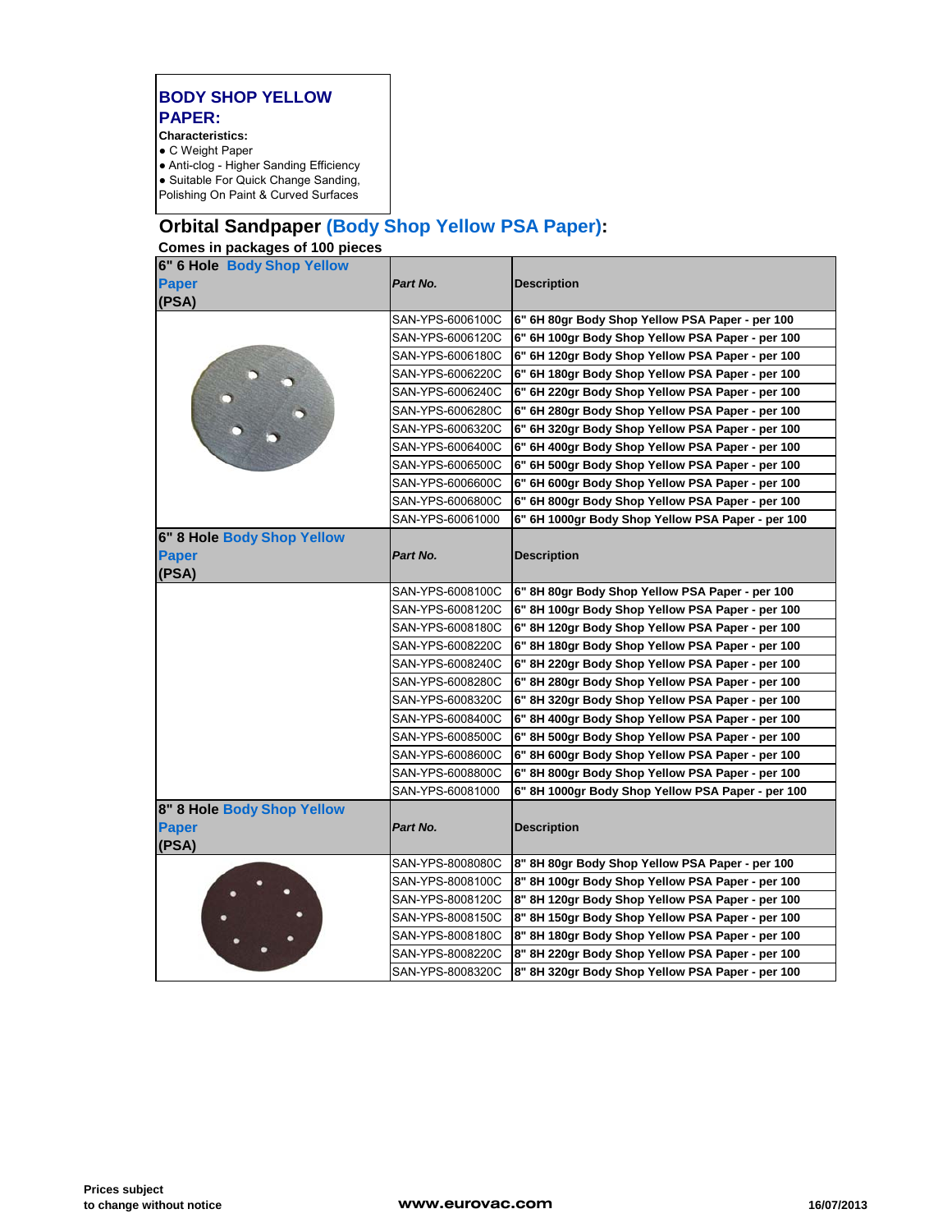## **BODY SHOP YELLOW PAPER:**

**Characteristics:**  ● C Weight Paper

- 
- Anti-clog Higher Sanding Efficiency ● Suitable For Quick Change Sanding, Polishing On Paint & Curved Surfaces

# **Orbital Sandpaper (Body Shop Yellow PSA Paper):**

| 6" 6 Hole Body Shop Yellow |                  |                                                   |
|----------------------------|------------------|---------------------------------------------------|
| <b>Paper</b>               | Part No.         | <b>Description</b>                                |
| (PSA)                      |                  |                                                   |
|                            | SAN-YPS-6006100C | 6" 6H 80gr Body Shop Yellow PSA Paper - per 100   |
|                            | SAN-YPS-6006120C | 6" 6H 100gr Body Shop Yellow PSA Paper - per 100  |
|                            | SAN-YPS-6006180C | 6" 6H 120gr Body Shop Yellow PSA Paper - per 100  |
|                            | SAN-YPS-6006220C | 6" 6H 180gr Body Shop Yellow PSA Paper - per 100  |
|                            | SAN-YPS-6006240C | 6" 6H 220gr Body Shop Yellow PSA Paper - per 100  |
|                            | SAN-YPS-6006280C | 6" 6H 280gr Body Shop Yellow PSA Paper - per 100  |
|                            | SAN-YPS-6006320C | 6" 6H 320gr Body Shop Yellow PSA Paper - per 100  |
|                            | SAN-YPS-6006400C | 6" 6H 400gr Body Shop Yellow PSA Paper - per 100  |
|                            | SAN-YPS-6006500C | 6" 6H 500gr Body Shop Yellow PSA Paper - per 100  |
|                            | SAN-YPS-6006600C | 6" 6H 600gr Body Shop Yellow PSA Paper - per 100  |
|                            | SAN-YPS-6006800C | 6" 6H 800gr Body Shop Yellow PSA Paper - per 100  |
|                            | SAN-YPS-60061000 | 6" 6H 1000gr Body Shop Yellow PSA Paper - per 100 |
| 6" 8 Hole Body Shop Yellow |                  |                                                   |
| <b>Paper</b>               | Part No.         | <b>Description</b>                                |
| (PSA)                      |                  |                                                   |
|                            | SAN-YPS-6008100C | 6" 8H 80gr Body Shop Yellow PSA Paper - per 100   |
|                            | SAN-YPS-6008120C | 6" 8H 100gr Body Shop Yellow PSA Paper - per 100  |
|                            | SAN-YPS-6008180C | 6" 8H 120gr Body Shop Yellow PSA Paper - per 100  |
|                            | SAN-YPS-6008220C | 6" 8H 180gr Body Shop Yellow PSA Paper - per 100  |
|                            | SAN-YPS-6008240C | 6" 8H 220gr Body Shop Yellow PSA Paper - per 100  |
|                            | SAN-YPS-6008280C | 6" 8H 280gr Body Shop Yellow PSA Paper - per 100  |
|                            | SAN-YPS-6008320C | 6" 8H 320gr Body Shop Yellow PSA Paper - per 100  |
|                            | SAN-YPS-6008400C | 6" 8H 400gr Body Shop Yellow PSA Paper - per 100  |
|                            | SAN-YPS-6008500C | 6" 8H 500gr Body Shop Yellow PSA Paper - per 100  |
|                            | SAN-YPS-6008600C | 6" 8H 600gr Body Shop Yellow PSA Paper - per 100  |
|                            | SAN-YPS-6008800C | 6" 8H 800gr Body Shop Yellow PSA Paper - per 100  |
|                            | SAN-YPS-60081000 | 6" 8H 1000gr Body Shop Yellow PSA Paper - per 100 |
| 8" 8 Hole Body Shop Yellow |                  |                                                   |
| <b>Paper</b>               | Part No.         | <b>Description</b>                                |
| (PSA)                      |                  |                                                   |
|                            | SAN-YPS-8008080C | 8" 8H 80gr Body Shop Yellow PSA Paper - per 100   |
|                            | SAN-YPS-8008100C | 8" 8H 100gr Body Shop Yellow PSA Paper - per 100  |
|                            | SAN-YPS-8008120C | 8" 8H 120gr Body Shop Yellow PSA Paper - per 100  |
|                            | SAN-YPS-8008150C | 8" 8H 150gr Body Shop Yellow PSA Paper - per 100  |
|                            | SAN-YPS-8008180C | 8" 8H 180gr Body Shop Yellow PSA Paper - per 100  |
|                            | SAN-YPS-8008220C | 8" 8H 220gr Body Shop Yellow PSA Paper - per 100  |
|                            | SAN-YPS-8008320C | 8" 8H 320gr Body Shop Yellow PSA Paper - per 100  |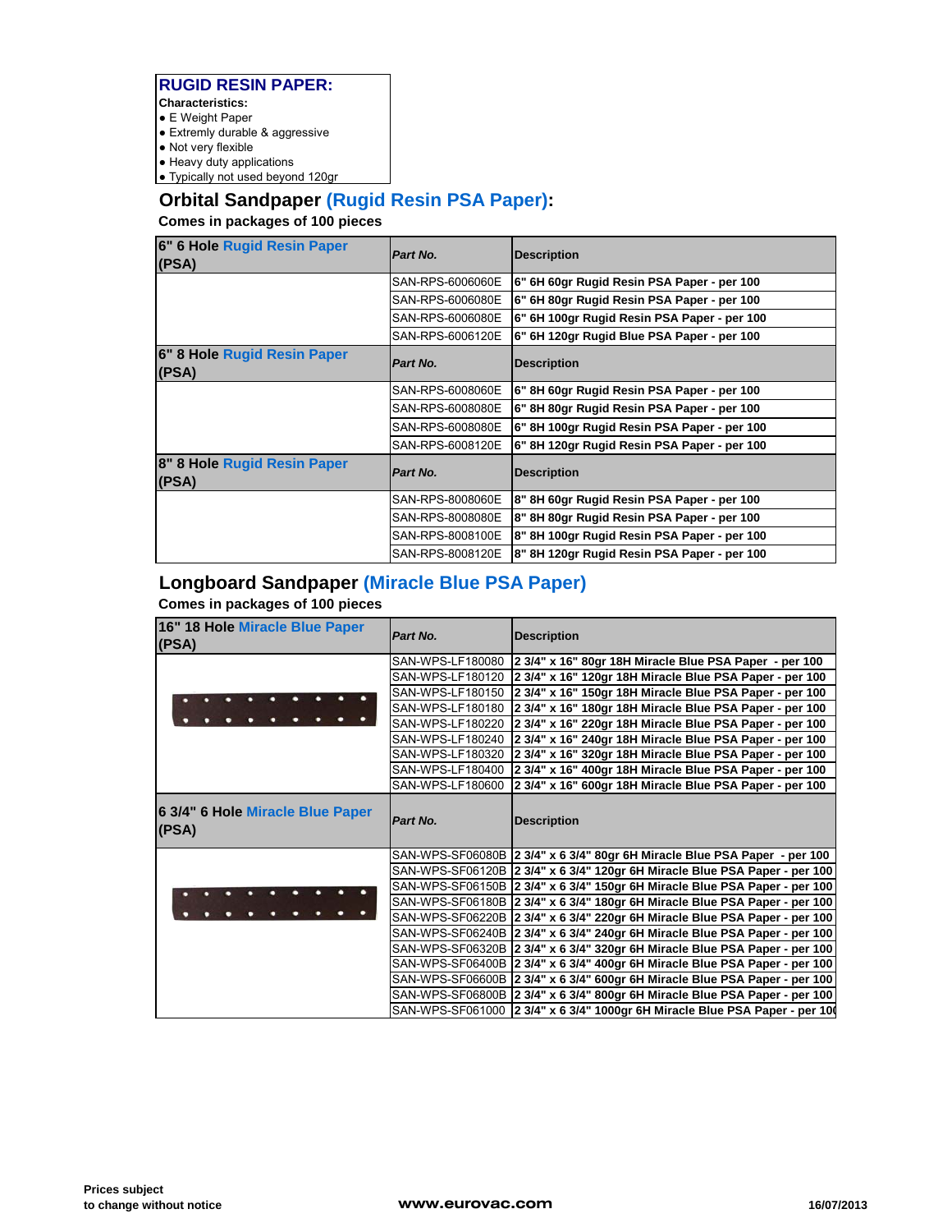#### **RUGID RESIN PAPER:**

- **Characteristics:**
- E Weight Paper
- Extremly durable & aggressive
- Not very flexible
- Heavy duty applications
- Typically not used beyond 120gr

### **Orbital Sandpaper (Rugid Resin PSA Paper):**

**Comes in packages of 100 pieces**

| 6" 6 Hole Rugid Resin Paper<br>(PSA) | Part No.         | <b>Description</b>                          |
|--------------------------------------|------------------|---------------------------------------------|
|                                      | SAN-RPS-6006060E | 6" 6H 60gr Rugid Resin PSA Paper - per 100  |
|                                      | SAN-RPS-6006080E | 6" 6H 80gr Rugid Resin PSA Paper - per 100  |
|                                      | SAN-RPS-6006080E | 6" 6H 100gr Rugid Resin PSA Paper - per 100 |
|                                      | SAN-RPS-6006120E | 6" 6H 120gr Rugid Blue PSA Paper - per 100  |
| 6" 8 Hole Rugid Resin Paper<br>(PSA) | Part No.         | <b>Description</b>                          |
|                                      | SAN-RPS-6008060E | 6" 8H 60gr Rugid Resin PSA Paper - per 100  |
|                                      | SAN-RPS-6008080E | 6" 8H 80gr Rugid Resin PSA Paper - per 100  |
|                                      | SAN-RPS-6008080E | 6" 8H 100gr Rugid Resin PSA Paper - per 100 |
|                                      | SAN-RPS-6008120E | 6" 8H 120gr Rugid Resin PSA Paper - per 100 |
| 8" 8 Hole Rugid Resin Paper<br>(PSA) | Part No.         | <b>Description</b>                          |
|                                      | SAN-RPS-8008060E | 8" 8H 60gr Rugid Resin PSA Paper - per 100  |
|                                      | SAN-RPS-8008080E | 8" 8H 80gr Rugid Resin PSA Paper - per 100  |
|                                      | SAN-RPS-8008100E | 8" 8H 100gr Rugid Resin PSA Paper - per 100 |
|                                      | SAN-RPS-8008120E | 8" 8H 120gr Rugid Resin PSA Paper - per 100 |

### **Longboard Sandpaper (Miracle Blue PSA Paper)**

| 16" 18 Hole Miracle Blue Paper<br>(PSA)   | Part No.         | <b>Description</b>                                                         |
|-------------------------------------------|------------------|----------------------------------------------------------------------------|
|                                           | SAN-WPS-LF180080 | 2 3/4" x 16" 80gr 18H Miracle Blue PSA Paper - per 100                     |
|                                           | SAN-WPS-LF180120 | 2 3/4" x 16" 120gr 18H Miracle Blue PSA Paper - per 100                    |
|                                           | SAN-WPS-LF180150 | 2 3/4" x 16" 150gr 18H Miracle Blue PSA Paper - per 100                    |
|                                           | SAN-WPS-LF180180 | 2 3/4" x 16" 180gr 18H Miracle Blue PSA Paper - per 100                    |
|                                           | SAN-WPS-LF180220 | 2 3/4" x 16" 220gr 18H Miracle Blue PSA Paper - per 100                    |
|                                           | SAN-WPS-LF180240 | 2 3/4" x 16" 240gr 18H Miracle Blue PSA Paper - per 100                    |
|                                           | SAN-WPS-LF180320 | 2 3/4" x 16" 320gr 18H Miracle Blue PSA Paper - per 100                    |
|                                           | SAN-WPS-LF180400 | 2 3/4" x 16" 400gr 18H Miracle Blue PSA Paper - per 100                    |
|                                           | SAN-WPS-LF180600 | 2 3/4" x 16" 600gr 18H Miracle Blue PSA Paper - per 100                    |
| 6 3/4" 6 Hole Miracle Blue Paper<br>(PSA) | Part No.         | <b>Description</b>                                                         |
|                                           |                  | SAN-WPS-SF06080B 2 3/4" x 6 3/4" 80gr 6H Miracle Blue PSA Paper - per 100  |
|                                           |                  | SAN-WPS-SF06120B 2 3/4" x 6 3/4" 120gr 6H Miracle Blue PSA Paper - per 100 |
|                                           |                  | SAN-WPS-SF06150B 2 3/4" x 6 3/4" 150gr 6H Miracle Blue PSA Paper - per 100 |
|                                           |                  | SAN-WPS-SF06180B 2 3/4" x 6 3/4" 180gr 6H Miracle Blue PSA Paper - per 100 |
|                                           |                  | SAN-WPS-SF06220B 2 3/4" x 6 3/4" 220gr 6H Miracle Blue PSA Paper - per 100 |
|                                           |                  | SAN-WPS-SF06240B 2 3/4" x 6 3/4" 240gr 6H Miracle Blue PSA Paper - per 100 |
|                                           |                  | SAN-WPS-SF06320B 2 3/4" x 6 3/4" 320gr 6H Miracle Blue PSA Paper - per 100 |
|                                           |                  | SAN-WPS-SF06400B 2 3/4" x 6 3/4" 400gr 6H Miracle Blue PSA Paper - per 100 |
|                                           |                  | SAN-WPS-SF06600B 2 3/4" x 6 3/4" 600gr 6H Miracle Blue PSA Paper - per 100 |
|                                           |                  | SAN-WPS-SF06800B 2 3/4" x 6 3/4" 800gr 6H Miracle Blue PSA Paper - per 100 |
|                                           |                  |                                                                            |